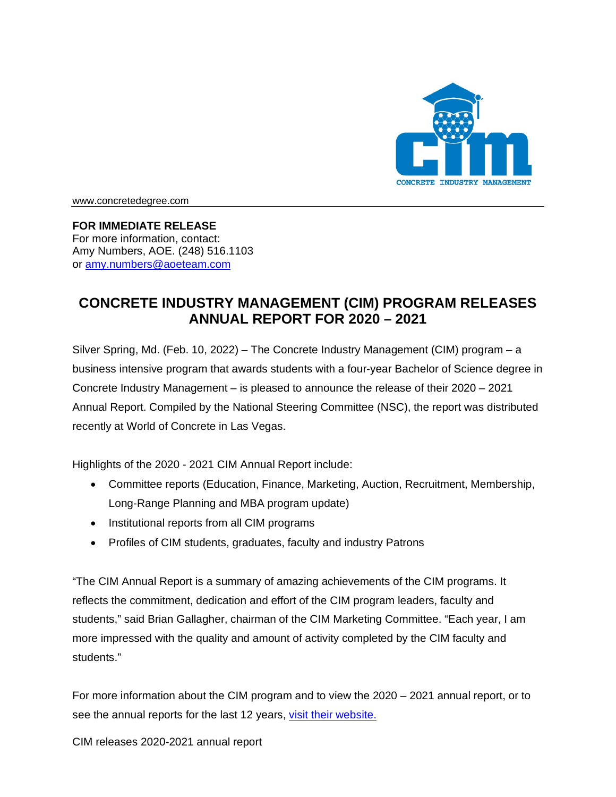

[www.concretedegree.com](http://www.concretedegree.com/)

## **FOR IMMEDIATE RELEASE**

For more information, contact: Amy Numbers, AOE. (248) 516.1103 or [amy.numbers@aoeteam.com](mailto:amy.numbers@aoeteam.com)

## **CONCRETE INDUSTRY MANAGEMENT (CIM) PROGRAM RELEASES ANNUAL REPORT FOR 2020 – 2021**

Silver Spring, Md. (Feb. 10, 2022) – The Concrete Industry Management (CIM) program – a business intensive program that awards students with a four-year Bachelor of Science degree in Concrete Industry Management – is pleased to announce the release of their 2020 – 2021 Annual Report. Compiled by the National Steering Committee (NSC), the report was distributed recently at World of Concrete in Las Vegas.

Highlights of the 2020 - 2021 CIM Annual Report include:

- Committee reports (Education, Finance, Marketing, Auction, Recruitment, Membership, Long-Range Planning and MBA program update)
- Institutional reports from all CIM programs
- Profiles of CIM students, graduates, faculty and industry Patrons

"The CIM Annual Report is a summary of amazing achievements of the CIM programs. It reflects the commitment, dedication and effort of the CIM program leaders, faculty and students," said Brian Gallagher, chairman of the CIM Marketing Committee. "Each year, I am more impressed with the quality and amount of activity completed by the CIM faculty and students."

For more information about the CIM program and to view the 2020 – 2021 annual report, or to see the annual reports for the last 12 years, [visit their website.](https://www.concretedegree.com/about/cim-annual-report/)

CIM releases 2020-2021 annual report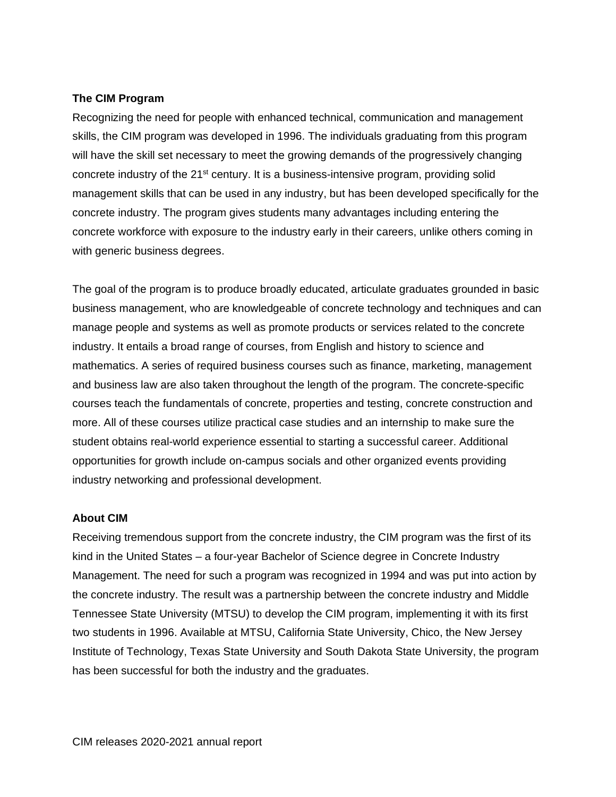## **The CIM Program**

Recognizing the need for people with enhanced technical, communication and management skills, the CIM program was developed in 1996. The individuals graduating from this program will have the skill set necessary to meet the growing demands of the progressively changing concrete industry of the  $21<sup>st</sup>$  century. It is a business-intensive program, providing solid management skills that can be used in any industry, but has been developed specifically for the concrete industry. The program gives students many advantages including entering the concrete workforce with exposure to the industry early in their careers, unlike others coming in with generic business degrees.

The goal of the program is to produce broadly educated, articulate graduates grounded in basic business management, who are knowledgeable of concrete technology and techniques and can manage people and systems as well as promote products or services related to the concrete industry. It entails a broad range of courses, from English and history to science and mathematics. A series of required business courses such as finance, marketing, management and business law are also taken throughout the length of the program. The concrete-specific courses teach the fundamentals of concrete, properties and testing, concrete construction and more. All of these courses utilize practical case studies and an internship to make sure the student obtains real-world experience essential to starting a successful career. Additional opportunities for growth include on-campus socials and other organized events providing industry networking and professional development.

## **About CIM**

Receiving tremendous support from the concrete industry, the CIM program was the first of its kind in the United States – a four-year Bachelor of Science degree in Concrete Industry Management. The need for such a program was recognized in 1994 and was put into action by the concrete industry. The result was a partnership between the concrete industry and Middle Tennessee State University (MTSU) to develop the CIM program, implementing it with its first two students in 1996. Available at MTSU, California State University, Chico, the New Jersey Institute of Technology, Texas State University and South Dakota State University, the program has been successful for both the industry and the graduates.